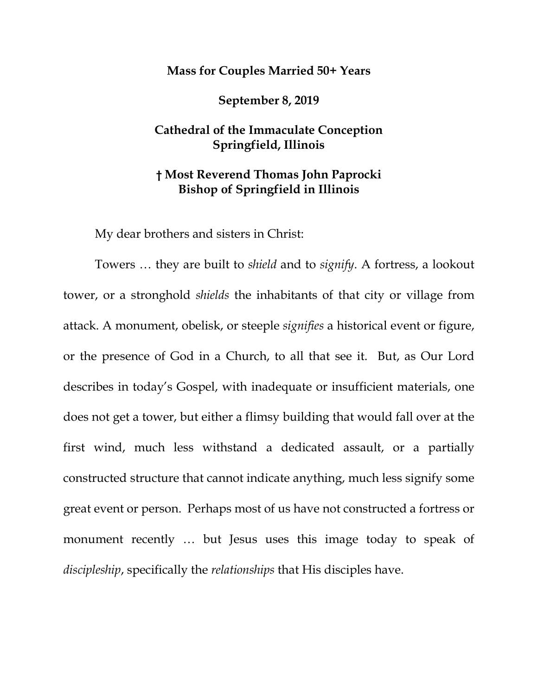## **Mass for Couples Married 50+ Years**

**September 8, 2019**

## **Cathedral of the Immaculate Conception Springfield, Illinois**

## **† Most Reverend Thomas John Paprocki Bishop of Springfield in Illinois**

My dear brothers and sisters in Christ:

Towers … they are built to *shield* and to *signify*. A fortress, a lookout tower, or a stronghold *shields* the inhabitants of that city or village from attack. A monument, obelisk, or steeple *signifies* a historical event or figure, or the presence of God in a Church, to all that see it. But, as Our Lord describes in today's Gospel, with inadequate or insufficient materials, one does not get a tower, but either a flimsy building that would fall over at the first wind, much less withstand a dedicated assault, or a partially constructed structure that cannot indicate anything, much less signify some great event or person. Perhaps most of us have not constructed a fortress or monument recently … but Jesus uses this image today to speak of *discipleship*, specifically the *relationships* that His disciples have.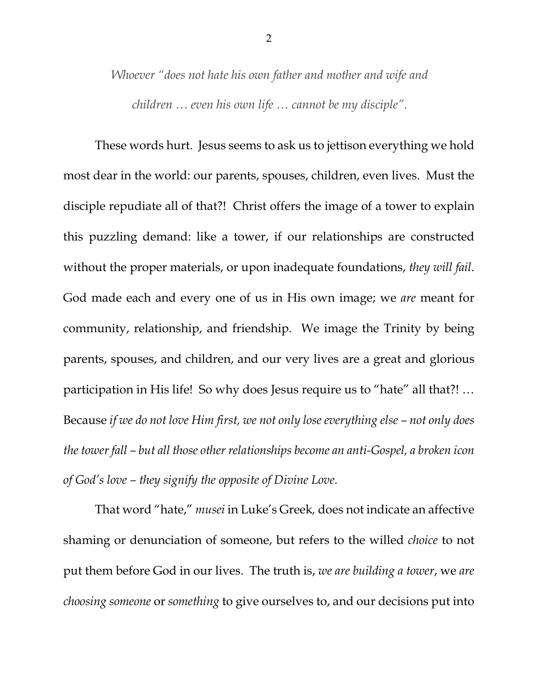*Whoever "does not hate his own father and mother and wife and children … even his own life … cannot be my disciple".* 

These words hurt. Jesus seems to ask us to jettison everything we hold most dear in the world: our parents, spouses, children, even lives. Must the disciple repudiate all of that?! Christ offers the image of a tower to explain this puzzling demand: like a tower, if our relationships are constructed without the proper materials, or upon inadequate foundations, *they will fail*. God made each and every one of us in His own image; we *are* meant for community, relationship, and friendship. We image the Trinity by being parents, spouses, and children, and our very lives are a great and glorious participation in His life! So why does Jesus require us to "hate" all that?! … Because *if we do not love Him first, we not only lose everything else – not only does the tower fall – but all those other relationships become an anti-Gospel, a broken icon of God's love – they signify the opposite of Divine Love.*

That word "hate," *musei* in Luke's Greek*,* does not indicate an affective shaming or denunciation of someone, but refers to the willed *choice* to not put them before God in our lives. The truth is, *we are building a tower*, we *are choosing someone* or *something* to give ourselves to, and our decisions put into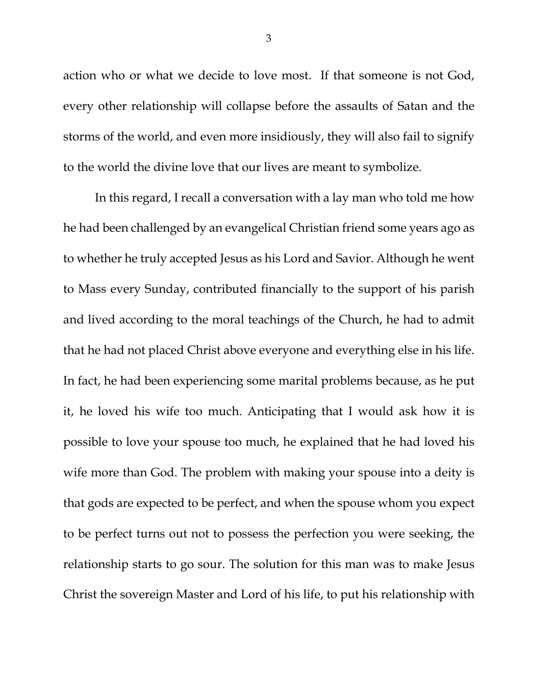action who or what we decide to love most. If that someone is not God, every other relationship will collapse before the assaults of Satan and the storms of the world, and even more insidiously, they will also fail to signify to the world the divine love that our lives are meant to symbolize.

In this regard, I recall a conversation with a lay man who told me how he had been challenged by an evangelical Christian friend some years ago as to whether he truly accepted Jesus as his Lord and Savior. Although he went to Mass every Sunday, contributed financially to the support of his parish and lived according to the moral teachings of the Church, he had to admit that he had not placed Christ above everyone and everything else in his life. In fact, he had been experiencing some marital problems because, as he put it, he loved his wife too much. Anticipating that I would ask how it is possible to love your spouse too much, he explained that he had loved his wife more than God. The problem with making your spouse into a deity is that gods are expected to be perfect, and when the spouse whom you expect to be perfect turns out not to possess the perfection you were seeking, the relationship starts to go sour. The solution for this man was to make Jesus Christ the sovereign Master and Lord of his life, to put his relationship with

3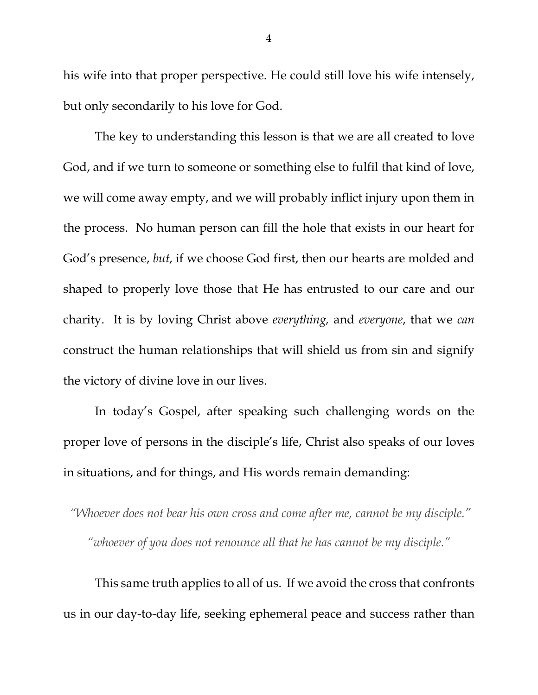his wife into that proper perspective. He could still love his wife intensely, but only secondarily to his love for God.

The key to understanding this lesson is that we are all created to love God, and if we turn to someone or something else to fulfil that kind of love, we will come away empty, and we will probably inflict injury upon them in the process. No human person can fill the hole that exists in our heart for God's presence, *but*, if we choose God first, then our hearts are molded and shaped to properly love those that He has entrusted to our care and our charity. It is by loving Christ above *everything,* and *everyone*, that we *can* construct the human relationships that will shield us from sin and signify the victory of divine love in our lives.

In today's Gospel, after speaking such challenging words on the proper love of persons in the disciple's life, Christ also speaks of our loves in situations, and for things, and His words remain demanding:

*"Whoever does not bear his own cross and come after me, cannot be my disciple." "whoever of you does not renounce all that he has cannot be my disciple."*

This same truth applies to all of us. If we avoid the cross that confronts us in our day-to-day life, seeking ephemeral peace and success rather than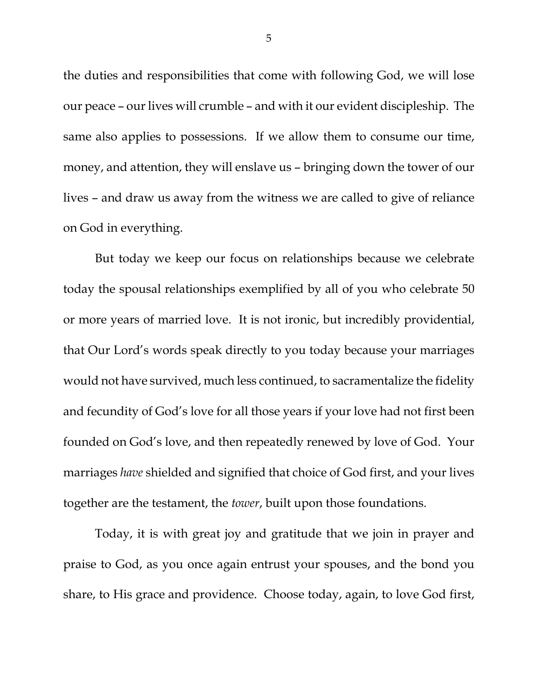the duties and responsibilities that come with following God, we will lose our peace – our lives will crumble – and with it our evident discipleship. The same also applies to possessions. If we allow them to consume our time, money, and attention, they will enslave us – bringing down the tower of our lives – and draw us away from the witness we are called to give of reliance on God in everything.

But today we keep our focus on relationships because we celebrate today the spousal relationships exemplified by all of you who celebrate 50 or more years of married love. It is not ironic, but incredibly providential, that Our Lord's words speak directly to you today because your marriages would not have survived, much less continued, to sacramentalize the fidelity and fecundity of God's love for all those years if your love had not first been founded on God's love, and then repeatedly renewed by love of God. Your marriages *have* shielded and signified that choice of God first, and your lives together are the testament, the *tower*, built upon those foundations.

Today, it is with great joy and gratitude that we join in prayer and praise to God, as you once again entrust your spouses, and the bond you share, to His grace and providence. Choose today, again, to love God first,

5